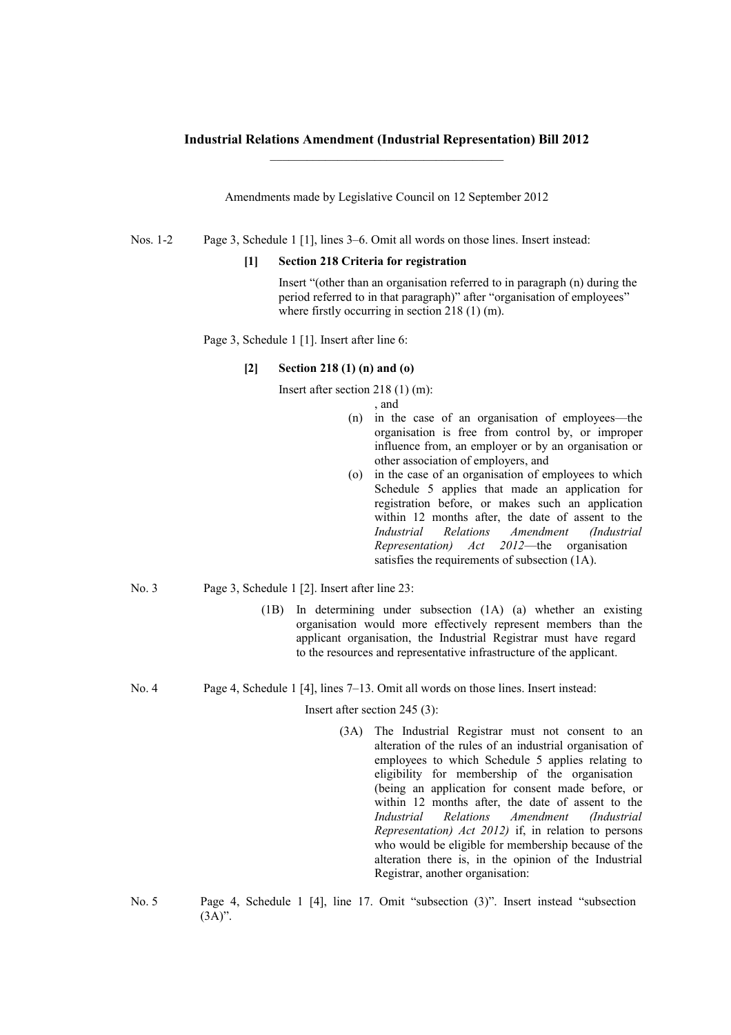## **Industrial Relations Amendment (Industrial Representation) Bill 2012**  $\mathcal{L}_\text{max}$  and  $\mathcal{L}_\text{max}$  and  $\mathcal{L}_\text{max}$  and  $\mathcal{L}_\text{max}$

Amendments made by Legislative Council on 12 September 2012

Nos. 1-2 Page 3, Schedule 1 [1], lines 3–6. Omit all words on those lines. Insert instead:

#### **[1] Section 218 Criteria for registration**

Insert "(other than an organisation referred to in paragraph (n) during the period referred to in that paragraph)" after "organisation of employees" where firstly occurring in section 218 (1) (m).

Page 3, Schedule 1 [1]. Insert after line 6:

#### **[2] Section 218 (1) (n) and (o)**

Insert after section 218 (1) (m):

, and

- (n) in the case of an organisation of employees—the organisation is free from control by, or improper influence from, an employer or by an organisation or other association of employers, and
- (o) in the case of an organisation of employees to which Schedule 5 applies that made an application for registration before, or makes such an application within 12 months after, the date of assent to the *Industrial Relations Amendment (Industrial Representation) Act 2012*—the organisation satisfies the requirements of subsection (1A).

No. 3 Page 3, Schedule 1 [2]. Insert after line 23:

(1B) In determining under subsection (1A) (a) whether an existing organisation would more effectively represent members than the applicant organisation, the Industrial Registrar must have regard to the resources and representative infrastructure of the applicant.

No. 4 Page 4, Schedule 1 [4], lines 7–13. Omit all words on those lines. Insert instead:

### Insert after section 245 (3):

(3A) The Industrial Registrar must not consent to an alteration of the rules of an industrial organisation of employees to which Schedule 5 applies relating to eligibility for membership of the organisation (being an application for consent made before, or within 12 months after, the date of assent to the *Industrial Relations Amendment (Industrial Representation) Act 2012)* if, in relation to persons who would be eligible for membership because of the alteration there is, in the opinion of the Industrial Registrar, another organisation:

No. 5 Page 4, Schedule 1 [4], line 17. Omit "subsection (3)". Insert instead "subsection  $(3A)$ ".